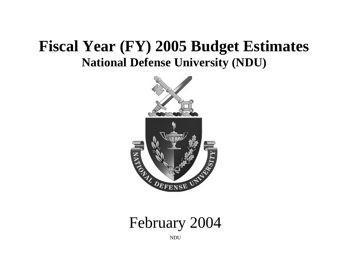# **Fiscal Year (FY) 2005 Budget Estimates National Defense University (NDU)**



February 2004

NDU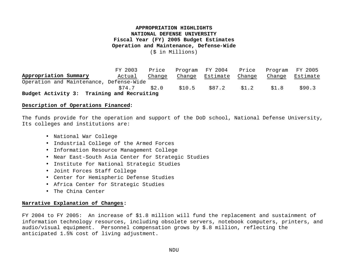## **APPROPRIATION HIGHLIGHTS NATIONAL DEFENSE UNIVERSITY Fiscal Year (FY) 2005 Budget Estimates Operation and Maintenance, Defense-Wide**

(\$ in Millions)

FY 2003 Price Program FY 2004 Price Program FY 2005 **Appropriation Summary** Actual Change Change Estimate Change Change Estimate Operation and Maintenance, Defense-Wide \$74.7 \$2.0 \$10.5 \$87.2 \$1.2 \$1.8 \$90.3 **Budget Activity 3: Training and Recruiting**

#### **Description of Operations Financed:**

The funds provide for the operation and support of the DoD school, National Defense University, Its colleges and institutions are:

- National War College
- Industrial College of the Armed Forces
- Information Resource Management College
- Near East-South Asia Center for Strategic Studies
- Institute for National Strategic Studies
- Joint Forces Staff College
- Center for Hemispheric Defense Studies
- Africa Center for Strategic Studies
- The China Center

#### **Narrative Explanation of Changes:**

FY 2004 to FY 2005: An increase of \$1.8 million will fund the replacement and sustainment of information technology resources, including obsolete servers, notebook computers, printers, and audio/visual equipment. Personnel compensation grows by \$.8 million, reflecting the anticipated 1.5% cost of living adjustment.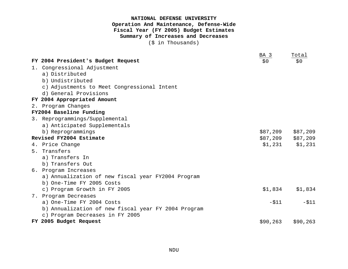## **NATIONAL DEFENSE UNIVERSITY Operation And Maintenance, Defense-Wide Fiscal Year (FY 2005) Budget Estimates Summary of Increases and Decreases**

(\$ in Thousands)

|                                                     | BA 3     | Total             |
|-----------------------------------------------------|----------|-------------------|
| FY 2004 President's Budget Request                  | \$0      | \$0               |
| 1. Congressional Adjustment                         |          |                   |
| a) Distributed                                      |          |                   |
| b) Undistributed                                    |          |                   |
| c) Adjustments to Meet Congressional Intent         |          |                   |
| d) General Provisions                               |          |                   |
| FY 2004 Appropriated Amount                         |          |                   |
| 2. Program Changes                                  |          |                   |
| FY2004 Baseline Funding                             |          |                   |
| 3. Reprogrammings/Supplemental                      |          |                   |
| a) Anticipated Supplementals                        |          |                   |
| b) Reprogrammings                                   | \$87,209 | \$87,209          |
| Revised FY2004 Estimate                             |          | \$87,209 \$87,209 |
| 4. Price Change                                     | \$1,231  | \$1,231           |
| 5. Transfers                                        |          |                   |
| a) Transfers In                                     |          |                   |
| b) Transfers Out                                    |          |                   |
| 6. Program Increases                                |          |                   |
| a) Annualization of new fiscal year FY2004 Program  |          |                   |
| b) One-Time FY 2005 Costs                           |          |                   |
| c) Program Growth in FY 2005                        | \$1,834  | \$1,834           |
| 7. Program Decreases                                |          |                   |
| a) One-Time FY 2004 Costs                           | $- $11$  | $-511$            |
| b) Annualization of new fiscal year FY 2004 Program |          |                   |
| c) Program Decreases in FY 2005                     |          |                   |
| FY 2005 Budget Request                              | \$90,263 | \$90, 263         |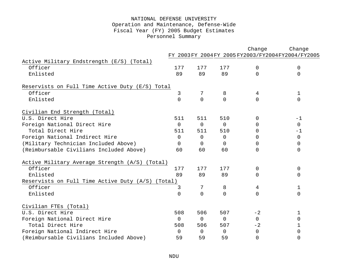## NATIONAL DEFENSE UNIVERSITY Operation and Maintenance, Defense-Wide Fiscal Year (FY) 2005 Budget Estimates Personnel Summary

|                                                   |                |                |                | Change         | Change                                          |
|---------------------------------------------------|----------------|----------------|----------------|----------------|-------------------------------------------------|
|                                                   |                |                |                |                | FY 2003FY 2004FY 2005FY2003/FY2004FY2004/FY2005 |
| Active Military Endstrength (E/S) (Total)         |                |                |                |                |                                                 |
| Officer                                           | 177            | 177            | 177            | $\mathbf 0$    | 0                                               |
| Enlisted                                          | 89             | 89             | 89             | $\Omega$       | 0                                               |
| Reservists on Full Time Active Duty (E/S) Total   |                |                |                |                |                                                 |
| Officer                                           | 3              | 7              | 8              | 4              | $\mathbf 1$                                     |
| Enlisted                                          | $\overline{0}$ | $\Omega$       | $\overline{0}$ | $\Omega$       | $\Omega$                                        |
| Civilian End Strength (Total)                     |                |                |                |                |                                                 |
| U.S. Direct Hire                                  | 511            | 511            | 510            | 0              | $-1$                                            |
| Foreign National Direct Hire                      | $\overline{0}$ | $\overline{0}$ | 0              | $\overline{0}$ | $\mathsf{O}$                                    |
| Total Direct Hire                                 | 511            | 511            | 510            | <sup>0</sup>   | $-1$                                            |
| Foreign National Indirect Hire                    | 0              | $\mathbf 0$    | 0              | $\Omega$       | $\mathbf 0$                                     |
| (Military Technician Included Above)              | $\Omega$       | $\Omega$       | $\Omega$       | 0              | $\Omega$                                        |
| (Reimbursable Civilians Included Above)           | 60             | 60             | 60             | 0              | 0                                               |
| Active Military Average Strength (A/S) (Total)    |                |                |                |                |                                                 |
| Officer                                           | 177            | 177            | 177            | 0              | 0                                               |
| Enlisted                                          | 89             | 89             | 89             | $\Omega$       | 0                                               |
| Reservists on Full Time Active Duty (A/S) (Total) |                |                |                |                |                                                 |
| Officer                                           | 3              | 7              | 8              | 4              | 1                                               |
| Enlisted                                          | $\overline{0}$ | $\Omega$       | $\Omega$       | $\Omega$       | 0                                               |
| Civilian FTEs (Total)                             |                |                |                |                |                                                 |
| U.S. Direct Hire                                  | 508            | 506            | 507            | $-2$           | 1                                               |
| Foreign National Direct Hire                      | $\mathbf 0$    | $\overline{0}$ | $\mathbf 0$    | $\Omega$       | $\Omega$                                        |
| Total Direct Hire                                 | 508            | 506            | 507            | $-2$           | 1                                               |
| Foreign National Indirect Hire                    | $\Omega$       | $\Omega$       | $\Omega$       | 0              | 0                                               |
| (Reimbursable Civilians Included Above)           | 59             | 59             | 59             | $\mathbf 0$    | 0                                               |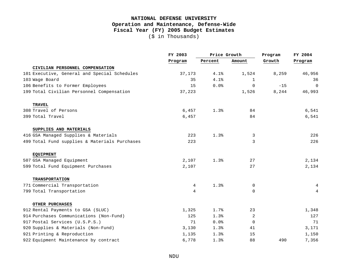## **NATIONAL DEFENSE UNIVERSITY Operation and Maintenance, Defense-Wide Fiscal Year (FY) 2005 Budget Estimates** (\$ in Thousands)

|                                               | FY 2003 | Price Growth |             | Program | FY 2004  |
|-----------------------------------------------|---------|--------------|-------------|---------|----------|
|                                               | Program | Percent      | Amount      | Growth  | Program  |
| CIVILIAN PERSONNEL COMPENSATION               |         |              |             |         |          |
| 101 Executive, General and Special Schedules  | 37,173  | 4.1%         | 1,524       | 8,259   | 46,956   |
| 103 Wage Board                                | 35      | 4.1%         | $\mathbf 1$ |         | 36       |
| 106 Benefits to Former Employees              | 15      | 0.0%         | $\mathbf 0$ | $-15$   | $\Omega$ |
| 199 Total Civilian Personnel Compensation     | 37,223  |              | 1,526       | 8,244   | 46,993   |
| <b>TRAVEL</b>                                 |         |              |             |         |          |
| 308 Travel of Persons                         | 6,457   | 1.3%         | 84          |         | 6,541    |
| 399 Total Travel                              | 6,457   |              | 84          |         | 6,541    |
| SUPPLIES AND MATERIALS                        |         |              |             |         |          |
| 416 GSA Managed Supplies & Materials          | 223     | 1.3%         | 3           |         | 226      |
| 499 Total Fund supplies & Materials Purchases | 223     |              | 3           |         | 226      |
| <b>EQUIPMENT</b>                              |         |              |             |         |          |
| 507 GSA Managed Equipment                     | 2,107   | 1.3%         | 27          |         | 2,134    |
| 599 Total Fund Equipment Purchases            | 2,107   |              | 27          |         | 2,134    |
| <b>TRANSPORTATION</b>                         |         |              |             |         |          |
| 771 Commercial Transportation                 | 4       | 1.3%         | $\mathbf 0$ |         | 4        |
| 799 Total Transportation                      | 4       |              | $\mathbf 0$ |         | 4        |
| <b>OTHER PURCHASES</b>                        |         |              |             |         |          |
| 912 Rental Payments to GSA (SLUC)             | 1,325   | 1.7%         | 23          |         | 1,348    |
| 914 Purchases Communications (Non-Fund)       | 125     | 1.3%         | 2           |         | 127      |
| 917 Postal Services (U.S.P.S.)                | 71      | 0.0%         | $\mathbf 0$ |         | 71       |
| 920 Supplies & Materials (Non-Fund)           | 3,130   | 1.3%         | 41          |         | 3,171    |
| 921 Printing & Reproduction                   | 1,135   | 1.3%         | 15          |         | 1,150    |
| 922 Equipment Maintenance by contract         | 6,778   | 1.3%         | 88          | 490     | 7,356    |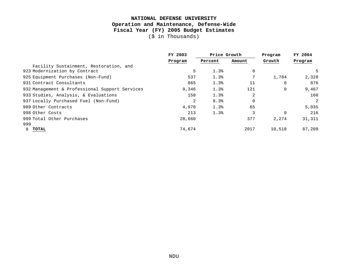# **NATIONAL DEFENSE UNIVERSITY Operation and Maintenance, Defense-Wide Fiscal Year (FY) 2005 Budget Estimates**

(\$ in Thousands)

|                                                | FY 2003 | Price Growth |             | Program     | FY 2004 |  |
|------------------------------------------------|---------|--------------|-------------|-------------|---------|--|
|                                                | Program | Percent      | Amount      | Growth      | Program |  |
| Facility Sustainment, Restoration, and         |         |              |             |             |         |  |
| 923 Modernization by Contract                  | 5       | 1.3%         | $\mathbf 0$ |             |         |  |
| 925 Equipment Purchases (Non-Fund)             | 537     | 1.3%         |             | 1,784       | 2,328   |  |
| 931 Contract Consultants                       | 865     | 1.3%         | 11          | 0           | 876     |  |
| 932 Management & Professional Support Services | 9,346   | 1.3%         | 121         | $\mathbf 0$ | 9,467   |  |
| 933 Studies, Analysis, & Evaluations           | 158     | 1.3%         | 2           |             | 160     |  |
| 937 Locally Purchased Fuel (Non-Fund)          | 2       | 8.3%         | 0           |             | 2       |  |
| 989 Other Contracts                            | 4,970   | 1.3%         | 65          |             | 5,035   |  |
| 998 Other Costs                                | 213     | 1.3%         | 3           | $\mathbf 0$ | 216     |  |
| 999 Total Other Purchases                      | 28,660  |              | 377         | 2,274       | 31,311  |  |
| 999                                            |         |              |             |             |         |  |
| TOTAL                                          | 74,674  |              | 2017        | 10,518      | 87,209  |  |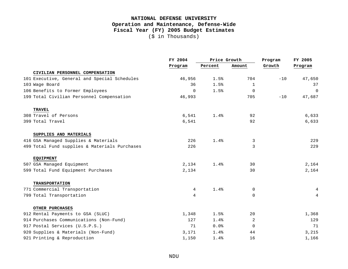## **NATIONAL DEFENSE UNIVERSITY Operation and Maintenance, Defense-Wide Fiscal Year (FY) 2005 Budget Estimates** (\$ in Thousands)

|                                               | FY 2004  | Price Growth |              | Program | FY 2005  |  |
|-----------------------------------------------|----------|--------------|--------------|---------|----------|--|
|                                               | Program  | Percent      | Amount       | Growth  | Program  |  |
| CIVILIAN PERSONNEL COMPENSATION               |          |              |              |         |          |  |
| 101 Executive, General and Special Schedules  | 46,956   | 1.5%         | 704          | $-10$   | 47,650   |  |
| 103 Wage Board                                | 36       | 1.5%         | $\mathbf{1}$ |         | 37       |  |
| 106 Benefits to Former Employees              | $\Omega$ | 1.5%         | $\mathbf 0$  |         | $\Omega$ |  |
| 199 Total Civilian Personnel Compensation     | 46,993   |              | 705          | $-10$   | 47,687   |  |
| <b>TRAVEL</b>                                 |          |              |              |         |          |  |
| 308 Travel of Persons                         | 6,541    | 1.4%         | 92           |         | 6,633    |  |
| 399 Total Travel                              | 6,541    |              | 92           |         | 6,633    |  |
| SUPPLIES AND MATERIALS                        |          |              |              |         |          |  |
| 416 GSA Managed Supplies & Materials          | 226      | 1.4%         | 3            |         | 229      |  |
| 499 Total Fund supplies & Materials Purchases | 226      |              | 3            |         | 229      |  |
| <b>EQUIPMENT</b>                              |          |              |              |         |          |  |
| 507 GSA Managed Equipment                     | 2,134    | 1.4%         | 30           |         | 2,164    |  |
| 599 Total Fund Equipment Purchases            | 2,134    |              | 30           |         | 2,164    |  |
| <b>TRANSPORTATION</b>                         |          |              |              |         |          |  |
| 771 Commercial Transportation                 | 4        | 1.4%         | 0            |         | 4        |  |
| 799 Total Transportation                      | 4        |              | $\Omega$     |         | 4        |  |
| OTHER PURCHASES                               |          |              |              |         |          |  |
| 912 Rental Payments to GSA (SLUC)             | 1,348    | 1.5%         | 20           |         | 1,368    |  |
| 914 Purchases Communications (Non-Fund)       | 127      | 1.4%         | 2            |         | 129      |  |
| 917 Postal Services (U.S.P.S.)                | 71       | 0.0%         | 0            |         | 71       |  |
| 920 Supplies & Materials (Non-Fund)           | 3,171    | 1.4%         | 44           |         | 3,215    |  |
| 921 Printing & Reproduction                   | 1,150    | 1.4%         | 16           |         | 1,166    |  |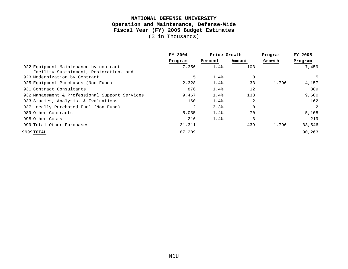# **NATIONAL DEFENSE UNIVERSITY Operation and Maintenance, Defense-Wide Fiscal Year (FY) 2005 Budget Estimates**

(\$ in Thousands)

|                                                | FY 2004 | Price Growth |                   | Program | FY 2005 |
|------------------------------------------------|---------|--------------|-------------------|---------|---------|
|                                                | Program | Percent      | Amount            | Growth  | Program |
| 922 Equipment Maintenance by contract          | 7,356   | 1.4%         | 103               |         | 7,459   |
| Facility Sustainment, Restoration, and         |         |              |                   |         |         |
| 923 Modernization by Contract                  | 5       | 1.4%         | 0                 |         | 5       |
| 925 Equipment Purchases (Non-Fund)             | 2,328   | 1.4%         | 33                | 1,796   | 4,157   |
| 931 Contract Consultants                       | 876     | 1.4%         | $12 \overline{ }$ |         | 889     |
| 932 Management & Professional Support Services | 9,467   | 1.4%         | 133               |         | 9,600   |
| 933 Studies, Analysis, & Evaluations           | 160     | 1.4%         | 2                 |         | 162     |
| 937 Locally Purchased Fuel (Non-Fund)          | 2       | 3.3%         | $\mathbf 0$       |         | 2       |
| 989 Other Contracts                            | 5,035   | 1.4%         | 70                |         | 5,105   |
| 998 Other Costs                                | 216     | 1.4%         | 3                 |         | 219     |
| 999 Total Other Purchases                      | 31,311  |              | 439               | 1,796   | 33,546  |
| 9999 TOTAL                                     | 87,209  |              |                   |         | 90,263  |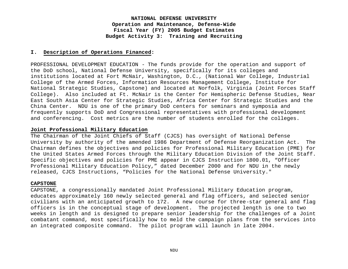#### **I. Description of Operations Financed:**

PROFESSIONAL DEVELOPMENT EDUCATION - The funds provide for the operation and support of the DoD school, National Defense University, specifically for its colleges and institutions located at Fort McNair, Washington, D.C., (National War College, Industrial College of the Armed Forces, Information Resources Management College, Institute for National Strategic Studies, Capstone) and located at Norfolk, Virginia (Joint Forces Staff College). Also included at Ft. McNair is the Center for Hemispheric Defense Studies, Near East South Asia Center for Strategic Studies, Africa Center for Strategic Studies and the China Center. NDU is one of the primary DoD centers for seminars and symposia and frequently supports DoD and Congressional representatives with professional development and conferencing. Cost metrics are the number of students enrolled for the colleges.

#### **Joint Professional Military Education**

The Chairman of the Joint Chiefs of Staff (CJCS) has oversight of National Defense University by authority of the amended 1986 Department of Defense Reorganization Act. The Chairman defines the objectives and policies for Professional Military Education (PME) for the United States Armed Forces through the Military Education Division of the Joint Staff. Specific objectives and policies for PME appear in CJCS Instruction 1800.01, "Officer Professional Military Education Policy," dated December 2000 and for NDU in the newly released, CJCS Instructions, "Policies for the National Defense University."

#### **CAPSTONE**

CAPSTONE, a congressionally mandated Joint Professional Military Education program, educates approximately 160 newly selected general and flag officers, and selected senior civilians with an anticipated growth to 172. A new course for three-star general and flag officers is in the conceptual stage of development. The projected length is one to two weeks in length and is designed to prepare senior leadership for the challenges of a Joint combatant command, most specifically how to meld the campaign plans from the services into an integrated composite command. The pilot program will launch in late 2004.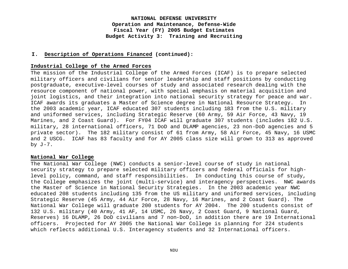#### **I. Description of Operations Financed (continued):**

#### **Industrial College of the Armed Forces**

The mission of the Industrial College of the Armed Forces (ICAF) is to prepare selected military officers and civilians for senior leadership and staff positions by conducting postgraduate, executive-level courses of study and associated research dealing with the resource component of national power, with special emphasis on material acquisition and joint logistics, and their integration into national security strategy for peace and war. ICAF awards its graduates a Master of Science degree in National Resource Strategy. In the 2003 academic year, ICAF educated 307 students including 183 from the U.S. military and uniformed services, including Strategic Reserve (60 Army, 59 Air Force, 43 Navy, 19 Marines, and 2 Coast Guard). For FY04 ICAF will graduate 307 students (includes 182 U.S. military, 28 international officers, 71 DoD and DLAMP agencies, 23 non-DoD agencies and 5 private sector). The 182 military consist of 61 from Army, 58 Air Force, 45 Navy, 16 USMC and 2 USCG. ICAF has 83 faculty and for AY 2005 class size will grown to 313 as approved by  $J-7$ .

#### **National War College**

The National War College (NWC) conducts a senior-level course of study in national security strategy to prepare selected military officers and federal officials for highlevel policy, command, and staff responsibilities. In conducting this course of study, the College emphasizes the joint (multi-service) and interagency perspectives. NWC awards the Master of Science in National Security Strategies. In the 2003 academic year NWC educated 208 students including 135 from the US military and uniformed services, including Strategic Reserve (45 Army, 44 Air Force, 28 Navy, 16 Marines, and 2 Coast Guard). The National War College will graduate 200 students for AY 2004. The 200 students consist of 132 U.S. military (40 Army, 41 AF, 14 USMC, 26 Navy, 2 Coast Guard, 9 National Guard, Reserves) 16 DLAMP, 26 DoD civilians and 7 non-DoD, in addition there are 19 International officers. Projected for AY 2005 the National War College is planning for 224 students which reflects additional U.S. Interagency students and 32 International officers.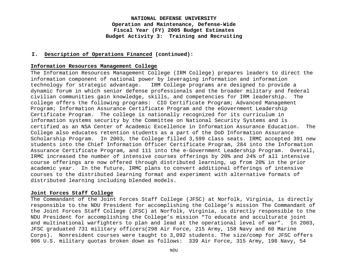#### **I. Description of Operations Financed (continued):**

#### **Information Resources Management College**

The Information Resources Management College (IRM College) prepares leaders to direct the information component of national power by leveraging information and information technology for strategic advantage. IRM College programs are designed to provide a dynamic forum in which senior defense professionals and the broader military and federal civilian communities gain knowledge, skills, and competencies for IRM leadership. The college offers the following programs: CIO Certificate Program; Advanced Management Program; Information Assurance Certificate Program and the eGovernment Leadership Certificate Program. The college is nationally recognized for its curriculum in information systems security by the Committee on National Security Systems and is certified as an NSA Center of Academic Excellence in Information Assurance Education. The College also educates retention students as a part of the DoD Information Assurance Scholarship Program. In 2003, the College filled 3,599 class seats. IRMC accepted 391 new students into the Chief Information Officer Certificate Program, 284 into the Information Assurance Certificate Program, and 111 into the e-Government Leadership Program. Overall, IRMC increased the number of intensive courses offerings by 20% and 24% of all intensive course offerings are now offered through distributed learning, up from 20% in the prior academic year. In the future, IRMC plans to convert additional offerings of intensive courses to the distributed learning format and experiment with alternative formats of distributed learning including blended models.

#### **Joint Forces Staff College**

The Commandant of the Joint Forces Staff College (JFSC) at Norfolk, Virginia, is directly responsible to the NDU President for accomplishing the College's mission The Commandant of the Joint Forces Staff College (JFSC) at Norfolk, Virginia, is directly responsible to the NDU President for accomplishing the College's mission "To educate and acculturate joint and multinational warfighters to plan and lead at the operational level of war". In 2003, JFSC graduated 731 military officers(298 Air Force, 215 Army, 158 Navy and 60 Marine Corps). Nonresident courses were taught to 3,092 students. The size/comp for JFSC offers 906 U.S. military quotas broken down as follows: 339 Air Force, 315 Army, 198 Navy, 54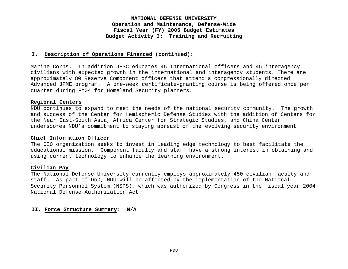#### **I. Description of Operations Financed (continued):**

Marine Corps. In addition JFSC educates 45 International officers and 45 interagency civilians with expected growth in the international and interagency students. There are approximately 80 Reserve Component officers that attend a congressionally directed Advanced JPME program. A one-week certificate-granting course is being offered once per quarter during FY04 for Homeland Security planners.

#### **Regional Centers**

NDU continues to expand to meet the needs of the national security community. The growth and success of the Center for Hemispheric Defense Studies with the addition of Centers for the Near East-South Asia, Africa Center for Strategic Studies, and China Center underscores NDU's commitment to staying abreast of the evolving security environment.

#### **Chief Information Officer**

The CIO organization seeks to invest in leading edge technology to best facilitate the educational mission. Component faculty and staff have a strong interest in obtaining and using current technology to enhance the learning environment.

#### **Civilian Pay**

The National Defense University currently employs approximately 450 civilian faculty and staff. As part of DoD, NDU will be affected by the implementation of the National Security Personnel System (NSPS), which was authorized by Congress in the fiscal year 2004 National Defense Authorization Act.

#### **II. Force Structure Summary: N/A**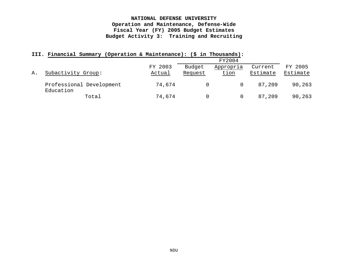| $\pm\pm\pm\cdot$ | rinancial Summary                     | (Operation & Maintenance): (S) |         | n Thousands): |          |          |
|------------------|---------------------------------------|--------------------------------|---------|---------------|----------|----------|
|                  |                                       |                                |         | FY2004        |          |          |
|                  |                                       | FY 2003                        | Budget  | Appropria     | Current  | FY 2005  |
| Α.               | Subactivity Group:                    | Actual                         | Request | tion          | Estimate | Estimate |
|                  | Professional Development<br>Education | 74,674                         |         |               | 87.209   | 90,263   |
|                  | Total                                 | 74,674                         |         |               | 87,209   | 90,263   |

#### **III. Financial Summary (Operation & Maintenance): (\$ in Thousands):**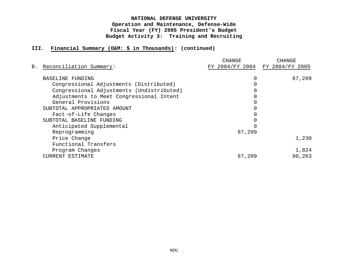## **III. Financial Summary (O&M: \$ in Thousands): (continued)**

|                                           | CHANGE                          | CHANGE |  |  |  |
|-------------------------------------------|---------------------------------|--------|--|--|--|
| B. Reconciliation Summary:                | FY 2004/FY 2004 FY 2004/FY 2005 |        |  |  |  |
| BASELINE FUNDING                          |                                 | 87,209 |  |  |  |
| Congressional Adjustments (Distributed)   |                                 |        |  |  |  |
| Congressional Adjustments (Undistributed) |                                 |        |  |  |  |
| Adjustments to Meet Congressional Intent  |                                 |        |  |  |  |
| General Provisions                        |                                 |        |  |  |  |
| SUBTOTAL APPROPRIATED AMOUNT              |                                 |        |  |  |  |
| Fact-of-Life Changes                      |                                 |        |  |  |  |
| SUBTOTAL BASELINE FUNDING                 |                                 |        |  |  |  |
| Anticipated Supplemental                  |                                 |        |  |  |  |
| Reprogramming                             | 87,209                          |        |  |  |  |
| Price Change                              |                                 | 1,230  |  |  |  |
| Functional Transfers                      |                                 |        |  |  |  |
| Program Changes                           |                                 | 1,824  |  |  |  |
| CURRENT ESTIMATE                          | 87,209                          | 90,263 |  |  |  |
|                                           |                                 |        |  |  |  |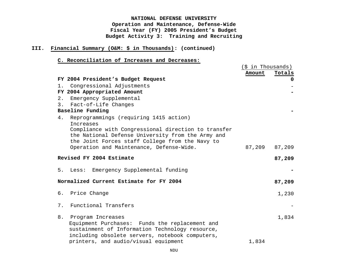## **III. Financial Summary (O&M: \$ in Thousands): (continued)**

## **C. Reconciliation of Increases and Decreases:**

|       |                                                     | (\$ in Thousands) |          |
|-------|-----------------------------------------------------|-------------------|----------|
|       |                                                     | Amount            | Totals   |
|       | FY 2004 President's Budget Request                  |                   | $\Omega$ |
|       | 1. Congressional Adjustments                        |                   |          |
|       | FY 2004 Appropriated Amount                         |                   |          |
| $2$ . | Emergency Supplemental                              |                   |          |
| 3.    | Fact-of-Life Changes                                |                   |          |
|       | Baseline Funding                                    |                   |          |
|       | 4. Reprogrammings (requiring 1415 action)           |                   |          |
|       | <b>Tncreases</b>                                    |                   |          |
|       | Compliance with Congressional direction to transfer |                   |          |
|       | the National Defense University from the Army and   |                   |          |
|       | the Joint Forces staff College from the Navy to     |                   |          |
|       | Operation and Maintenance, Defense-Wide.            | 87,209            | 87,209   |
|       | Revised FY 2004 Estimate                            |                   | 87,209   |
| 5.    | Emergency Supplemental funding<br>Less:             |                   |          |
|       |                                                     |                   |          |
|       | Normalized Current Estimate for FY 2004             |                   | 87,209   |
|       | 6. Price Change                                     |                   | 1,230    |
|       |                                                     |                   |          |
| 7.    | Functional Transfers                                |                   |          |
| 8.    | Program Increases                                   |                   | 1,834    |
|       | Equipment Purchases: Funds the replacement and      |                   |          |
|       | sustainment of Information Technology resource,     |                   |          |
|       | including obsolete servers, notebook computers,     |                   |          |
|       | printers, and audio/visual equipment                | 1,834             |          |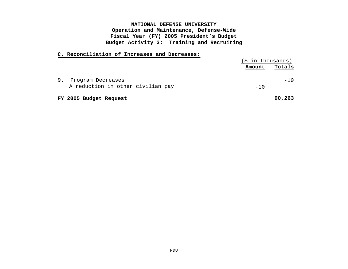#### **C. Reconciliation of Increases and Decreases:**

|    |                                                        | $(\$$ in Thousands) |        |
|----|--------------------------------------------------------|---------------------|--------|
|    |                                                        | Amount              | Totals |
| 9. | Program Decreases<br>A reduction in other civilian pay | $-10$               | $-10$  |
|    | FY 2005 Budget Request                                 |                     | 90,263 |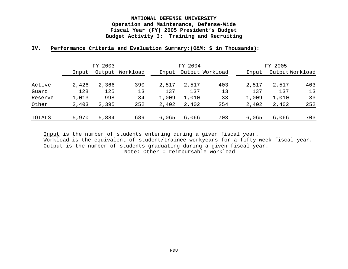### **IV. Performance Criteria and Evaluation Summary:(O&M: \$ in Thousands):**

|         | FY 2003 |        |          | FY 2004 |       |                 |       | FY 2005         |     |  |
|---------|---------|--------|----------|---------|-------|-----------------|-------|-----------------|-----|--|
|         | Input   | Output | Workload | Input   |       | Output Workload | Input | Output Workload |     |  |
| Active  | 2,426   | 2,366  | 390      | 2,517   | 2,517 | 403             | 2,517 | 2,517           | 403 |  |
| Guard   | 128     | 125    | 13       | 137     | 137   | 13              | 137   | 137             | 13  |  |
| Reserve | 1,013   | 998    | 34       | 1,009   | 1,010 | 33              | 1,009 | 1,010           | 33  |  |
| Other   | 2,403   | 2,395  | 252      | 2,402   | 2,402 | 254             | 2,402 | 2,402           | 252 |  |
| TOTALS  | 5,970   | 5,884  | 689      | 6,065   | 6,066 | 703             | 6,065 | 6,066           | 703 |  |

Input is the number of students entering during a given fiscal year. Workload is the equivalent of student/trainee workyears for a fifty-week fiscal year. Output is the number of students graduating during a given fiscal year. Note: Other = reimbursable workload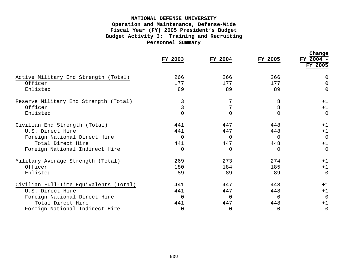|                                        | FY 2003  | FY 2004  | FY 2005        | Change<br>FY 2004 -<br>FY 2005 |
|----------------------------------------|----------|----------|----------------|--------------------------------|
| Active Military End Strength (Total)   | 266      | 266      | 266            | $\Omega$                       |
| Officer                                | 177      | 177      | 177            | $\Omega$                       |
| Enlisted                               | 89       | 89       | 89             | $\Omega$                       |
| Reserve Military End Strength (Total)  | 3        |          | 8              | $+1$                           |
| Officer                                |          | 7        | 8              | $+1$                           |
| Enlisted                               |          |          | $\overline{0}$ | $\Omega$                       |
| Civilian End Strength (Total)          | 441      | 447      | 448            | $+1$                           |
| U.S. Direct Hire                       | 441      | 447      | 448            | $+1$                           |
| Foreign National Direct Hire           | $\Omega$ | $\Omega$ | $\Omega$       | $\overline{0}$                 |
| Total Direct Hire                      | 441      | 447      | 448            | $+1$                           |
| Foreign National Indirect Hire         | 0        | 0        | 0              | $\Omega$                       |
| Military Average Strength (Total)      | 269      | 273      | 2.74           | $+1$                           |
| Officer                                | 180      | 184      | 185            | $+1$                           |
| Enlisted                               | 89       | 89       | 89             | $\Omega$                       |
| Civilian Full-Time Equivalents (Total) | 441      | 447      | 448            | $+1$                           |
| U.S. Direct Hire                       | 441      | 447      | 448            | $+1$                           |
| Foreign National Direct Hire           | $\Omega$ | $\Omega$ | $\Omega$       | $\Omega$                       |
| Total Direct Hire                      | 441      | 447      | 448            | $+1$                           |
| Foreign National Indirect Hire         | 0        | 0        | $\Omega$       | $\Omega$                       |